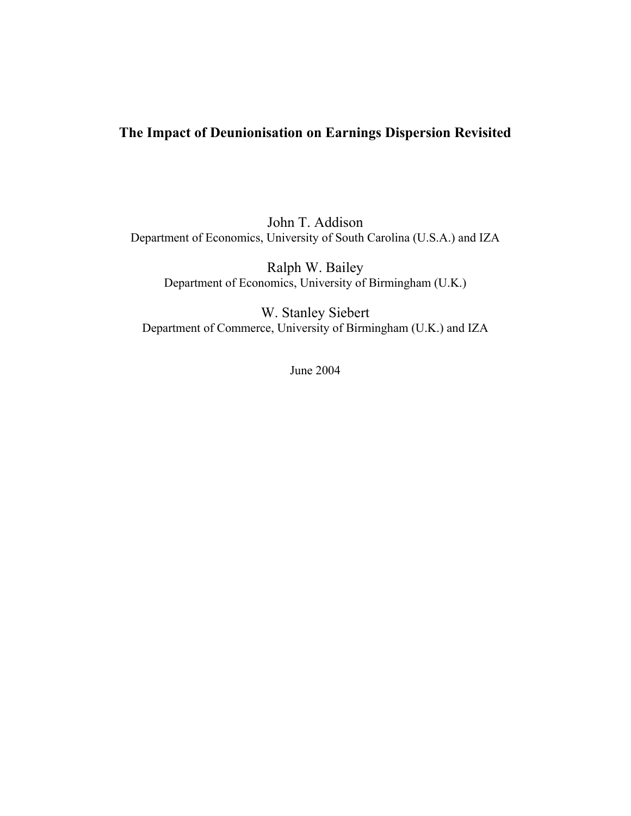# **The Impact of Deunionisation on Earnings Dispersion Revisited**

John T. Addison Department of Economics, University of South Carolina (U.S.A.) and IZA

Ralph W. Bailey Department of Economics, University of Birmingham (U.K.)

W. Stanley Siebert Department of Commerce, University of Birmingham (U.K.) and IZA

June 2004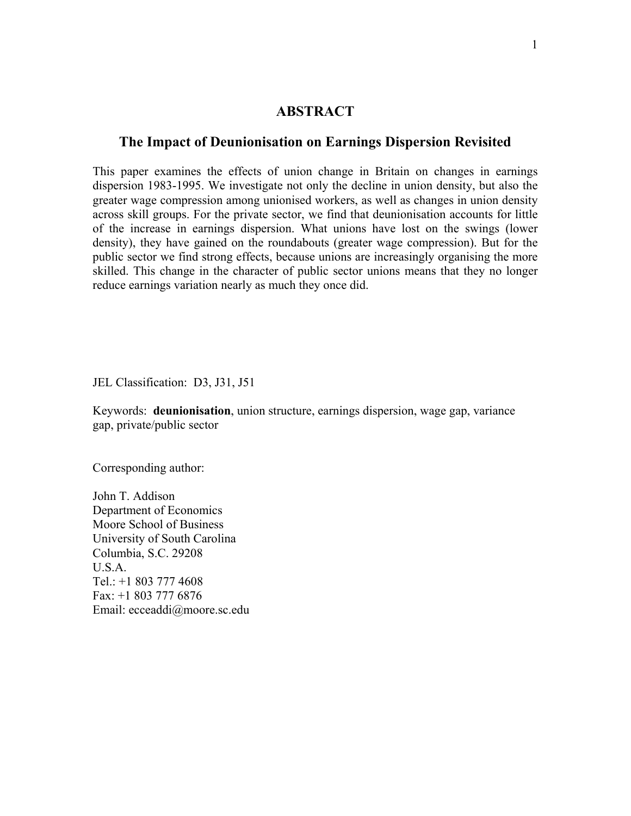# **ABSTRACT**

## **The Impact of Deunionisation on Earnings Dispersion Revisited**

This paper examines the effects of union change in Britain on changes in earnings dispersion 1983-1995. We investigate not only the decline in union density, but also the greater wage compression among unionised workers, as well as changes in union density across skill groups. For the private sector, we find that deunionisation accounts for little of the increase in earnings dispersion. What unions have lost on the swings (lower density), they have gained on the roundabouts (greater wage compression). But for the public sector we find strong effects, because unions are increasingly organising the more skilled. This change in the character of public sector unions means that they no longer reduce earnings variation nearly as much they once did.

JEL Classification: D3, J31, J51

Keywords: **deunionisation**, union structure, earnings dispersion, wage gap, variance gap, private/public sector

Corresponding author:

John T. Addison Department of Economics Moore School of Business University of South Carolina Columbia, S.C. 29208 U.S.A. Tel.: +1 803 777 4608 Fax: +1 803 777 6876 Email: ecceaddi@moore.sc.edu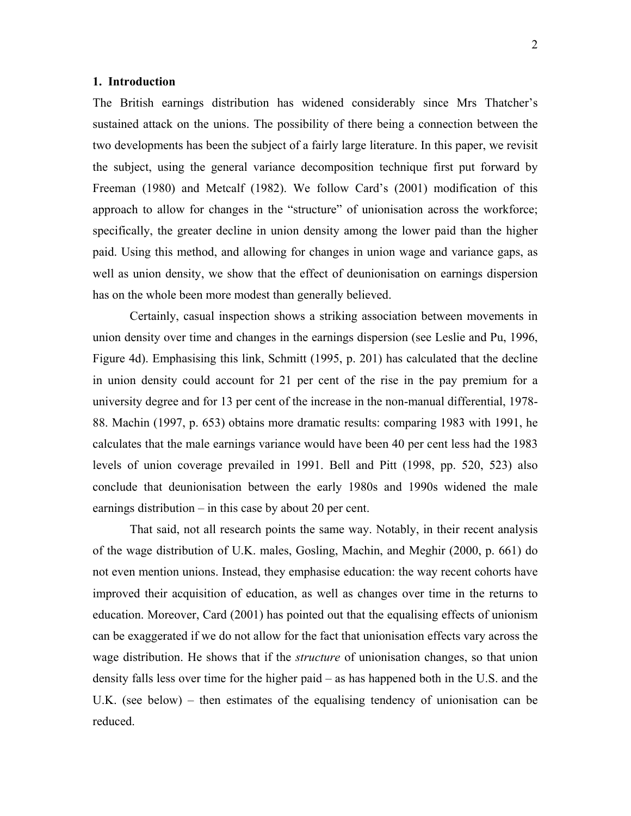#### **1. Introduction**

The British earnings distribution has widened considerably since Mrs Thatcher's sustained attack on the unions. The possibility of there being a connection between the two developments has been the subject of a fairly large literature. In this paper, we revisit the subject, using the general variance decomposition technique first put forward by Freeman (1980) and Metcalf (1982). We follow Card's (2001) modification of this approach to allow for changes in the "structure" of unionisation across the workforce; specifically, the greater decline in union density among the lower paid than the higher paid. Using this method, and allowing for changes in union wage and variance gaps, as well as union density, we show that the effect of deunionisation on earnings dispersion has on the whole been more modest than generally believed.

Certainly, casual inspection shows a striking association between movements in union density over time and changes in the earnings dispersion (see Leslie and Pu, 1996, Figure 4d). Emphasising this link, Schmitt (1995, p. 201) has calculated that the decline in union density could account for 21 per cent of the rise in the pay premium for a university degree and for 13 per cent of the increase in the non-manual differential, 1978- 88. Machin (1997, p. 653) obtains more dramatic results: comparing 1983 with 1991, he calculates that the male earnings variance would have been 40 per cent less had the 1983 levels of union coverage prevailed in 1991. Bell and Pitt (1998, pp. 520, 523) also conclude that deunionisation between the early 1980s and 1990s widened the male earnings distribution – in this case by about 20 per cent.

That said, not all research points the same way. Notably, in their recent analysis of the wage distribution of U.K. males, Gosling, Machin, and Meghir (2000, p. 661) do not even mention unions. Instead, they emphasise education: the way recent cohorts have improved their acquisition of education, as well as changes over time in the returns to education. Moreover, Card (2001) has pointed out that the equalising effects of unionism can be exaggerated if we do not allow for the fact that unionisation effects vary across the wage distribution. He shows that if the *structure* of unionisation changes, so that union density falls less over time for the higher paid – as has happened both in the U.S. and the U.K. (see below) – then estimates of the equalising tendency of unionisation can be reduced.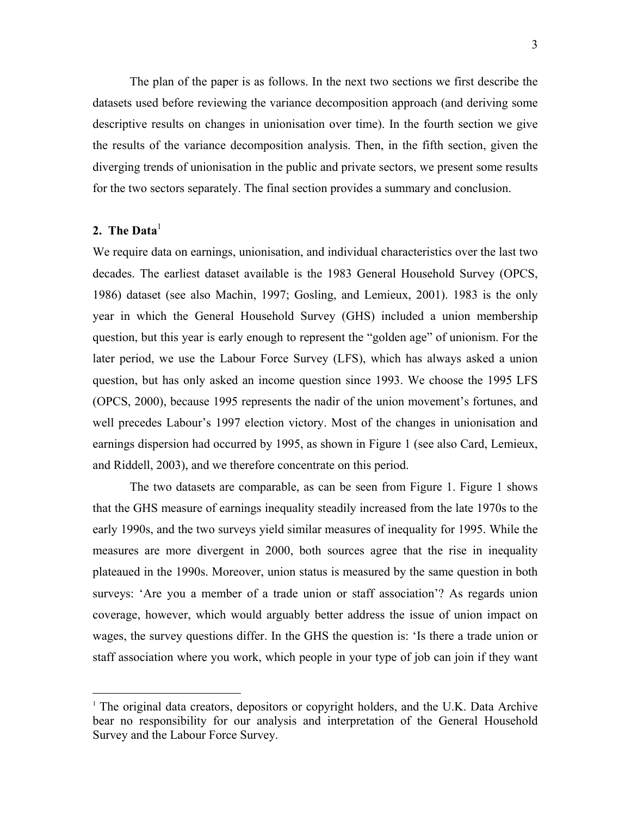The plan of the paper is as follows. In the next two sections we first describe the datasets used before reviewing the variance decomposition approach (and deriving some descriptive results on changes in unionisation over time). In the fourth section we give the results of the variance decomposition analysis. Then, in the fifth section, given the diverging trends of unionisation in the public and private sectors, we present some results for the two sectors separately. The final section provides a summary and conclusion.

#### 2. The Data<sup>[1](#page-3-0)</sup>

1

We require data on earnings, unionisation, and individual characteristics over the last two decades. The earliest dataset available is the 1983 General Household Survey (OPCS, 1986) dataset (see also Machin, 1997; Gosling, and Lemieux, 2001). 1983 is the only year in which the General Household Survey (GHS) included a union membership question, but this year is early enough to represent the "golden age" of unionism. For the later period, we use the Labour Force Survey (LFS), which has always asked a union question, but has only asked an income question since 1993. We choose the 1995 LFS (OPCS, 2000), because 1995 represents the nadir of the union movement's fortunes, and well precedes Labour's 1997 election victory. Most of the changes in unionisation and earnings dispersion had occurred by 1995, as shown in Figure 1 (see also Card, Lemieux, and Riddell, 2003), and we therefore concentrate on this period.

The two datasets are comparable, as can be seen from Figure 1. Figure 1 shows that the GHS measure of earnings inequality steadily increased from the late 1970s to the early 1990s, and the two surveys yield similar measures of inequality for 1995. While the measures are more divergent in 2000, both sources agree that the rise in inequality plateaued in the 1990s. Moreover, union status is measured by the same question in both surveys: 'Are you a member of a trade union or staff association'? As regards union coverage, however, which would arguably better address the issue of union impact on wages, the survey questions differ. In the GHS the question is: 'Is there a trade union or staff association where you work, which people in your type of job can join if they want

<span id="page-3-0"></span><sup>&</sup>lt;sup>1</sup> The original data creators, depositors or copyright holders, and the U.K. Data Archive bear no responsibility for our analysis and interpretation of the General Household Survey and the Labour Force Survey.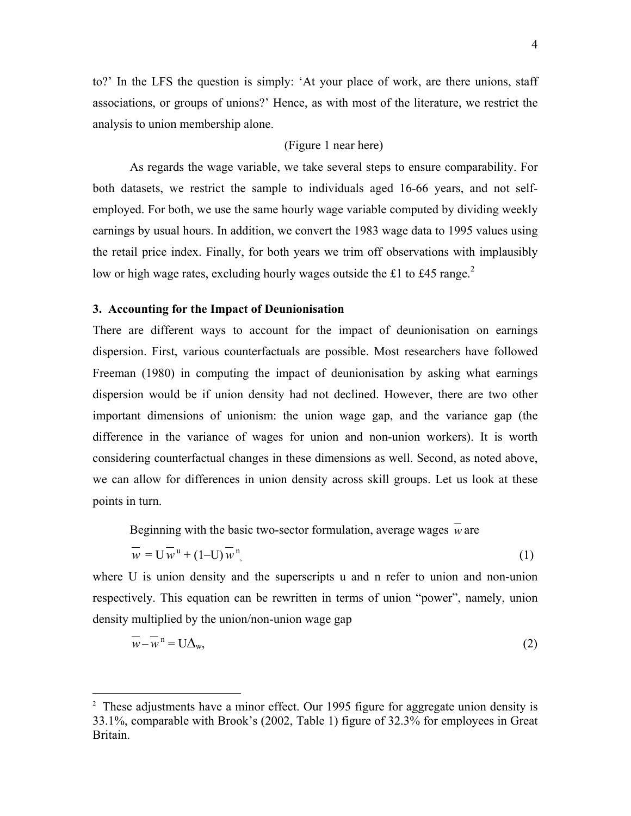to?' In the LFS the question is simply: 'At your place of work, are there unions, staff associations, or groups of unions?' Hence, as with most of the literature, we restrict the analysis to union membership alone.

#### (Figure 1 near here)

As regards the wage variable, we take several steps to ensure comparability. For both datasets, we restrict the sample to individuals aged 16-66 years, and not selfemployed. For both, we use the same hourly wage variable computed by dividing weekly earnings by usual hours. In addition, we convert the 1983 wage data to 1995 values using the retail price index. Finally, for both years we trim off observations with implausibly low or high wage rates, excluding hourly wages outside the £1 to £45 range.<sup>[2](#page-4-0)</sup>

#### **3. Accounting for the Impact of Deunionisation**

 $\overline{a}$ 

There are different ways to account for the impact of deunionisation on earnings dispersion. First, various counterfactuals are possible. Most researchers have followed Freeman (1980) in computing the impact of deunionisation by asking what earnings dispersion would be if union density had not declined. However, there are two other important dimensions of unionism: the union wage gap, and the variance gap (the difference in the variance of wages for union and non-union workers). It is worth considering counterfactual changes in these dimensions as well. Second, as noted above, we can allow for differences in union density across skill groups. Let us look at these points in turn.

Beginning with the basic two-sector formulation, average wages  $\overline{w}$  are

$$
\overline{w} = U \overline{w}^{u} + (1-U) \overline{w}^{n}, \qquad (1)
$$

where U is union density and the superscripts u and n refer to union and non-union respectively. This equation can be rewritten in terms of union "power", namely, union density multiplied by the union/non-union wage gap

$$
\overline{w} - \overline{w}^n = U\Delta_w,\tag{2}
$$

<span id="page-4-0"></span><sup>&</sup>lt;sup>2</sup> These adjustments have a minor effect. Our 1995 figure for aggregate union density is 33.1%, comparable with Brook's (2002, Table 1) figure of 32.3% for employees in Great Britain.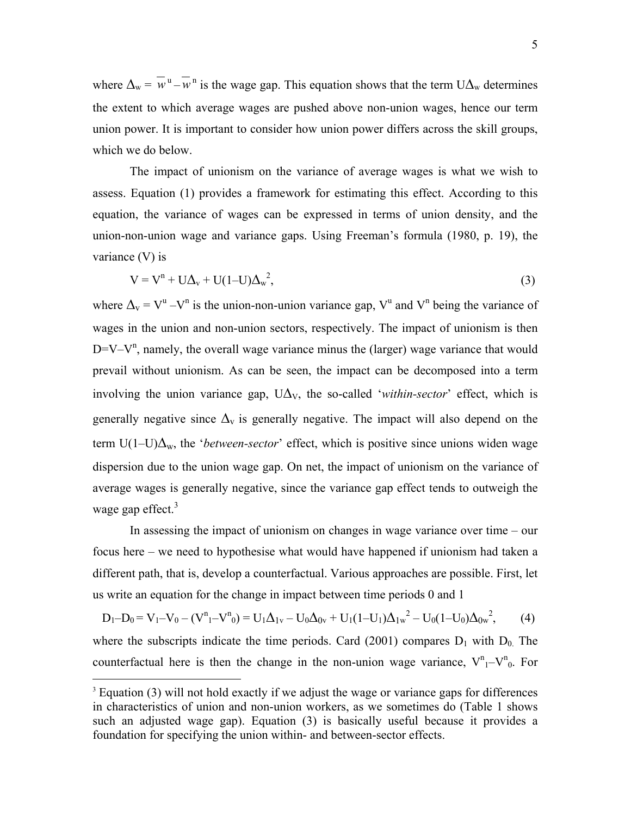where  $\Delta_w = \overline{w}^u - \overline{w}^n$  is the wage gap. This equation shows that the term  $U\Delta_w$  determines the extent to which average wages are pushed above non-union wages, hence our term union power. It is important to consider how union power differs across the skill groups, which we do below.

The impact of unionism on the variance of average wages is what we wish to assess. Equation (1) provides a framework for estimating this effect. According to this equation, the variance of wages can be expressed in terms of union density, and the union-non-union wage and variance gaps. Using Freeman's formula (1980, p. 19), the variance (V) is

$$
V = Vn + U\Delta_v + U(1-U)\Delta_w2,
$$
\n(3)

where  $\Delta_v = V^u - V^n$  is the union-non-union variance gap,  $V^u$  and  $V^n$  being the variance of wages in the union and non-union sectors, respectively. The impact of unionism is then  $D=V-V<sup>n</sup>$ , namely, the overall wage variance minus the (larger) wage variance that would prevail without unionism. As can be seen, the impact can be decomposed into a term involving the union variance gap,  $U\Delta_{V}$ , the so-called *'within-sector'* effect, which is generally negative since  $\Delta_{\rm v}$  is generally negative. The impact will also depend on the term  $U(1-U)\Delta_{w}$ , the '*between-sector*' effect, which is positive since unions widen wage dispersion due to the union wage gap. On net, the impact of unionism on the variance of average wages is generally negative, since the variance gap effect tends to outweigh the wage gap effect.<sup>[3](#page-5-0)</sup>

In assessing the impact of unionism on changes in wage variance over time – our focus here – we need to hypothesise what would have happened if unionism had taken a different path, that is, develop a counterfactual. Various approaches are possible. First, let us write an equation for the change in impact between time periods 0 and 1

$$
D_1 - D_0 = V_1 - V_0 - (V^n_1 - V^n_0) = U_1 \Delta_{1v} - U_0 \Delta_{0v} + U_1 (1 - U_1) \Delta_{1w}^2 - U_0 (1 - U_0) \Delta_{0w}^2, \tag{4}
$$

where the subscripts indicate the time periods. Card (2001) compares  $D_1$  with  $D_0$ . The counterfactual here is then the change in the non-union wage variance,  $V_{1}^{n}-V_{0}^{n}$ . For

1

<span id="page-5-0"></span><sup>&</sup>lt;sup>3</sup> Equation (3) will not hold exactly if we adjust the wage or variance gaps for differences in characteristics of union and non-union workers, as we sometimes do (Table 1 shows such an adjusted wage gap). Equation (3) is basically useful because it provides a foundation for specifying the union within- and between-sector effects.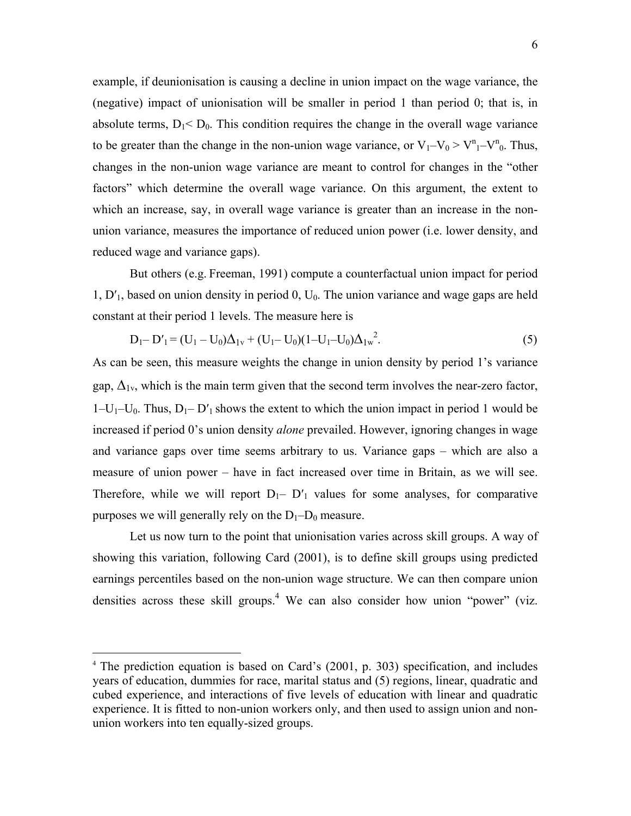example, if deunionisation is causing a decline in union impact on the wage variance, the (negative) impact of unionisation will be smaller in period 1 than period 0; that is, in absolute terms,  $D_1 < D_0$ . This condition requires the change in the overall wage variance to be greater than the change in the non-union wage variance, or  $V_1 - V_0 > V_{1}^n - V_{0}^n$ . Thus, changes in the non-union wage variance are meant to control for changes in the "other factors" which determine the overall wage variance. On this argument, the extent to which an increase, say, in overall wage variance is greater than an increase in the nonunion variance, measures the importance of reduced union power (i.e. lower density, and reduced wage and variance gaps).

But others (e.g. Freeman, 1991) compute a counterfactual union impact for period 1,  $D'$ <sub>1</sub>, based on union density in period 0,  $U_0$ . The union variance and wage gaps are held constant at their period 1 levels. The measure here is

$$
D_1 - D'_1 = (U_1 - U_0)\Delta_{1v} + (U_1 - U_0)(1 - U_1 - U_0)\Delta_{1w}^2.
$$
\n(5)

As can be seen, this measure weights the change in union density by period 1's variance gap,  $\Delta_{1v}$ , which is the main term given that the second term involves the near-zero factor,  $1-U_1-U_0$ . Thus,  $D_1 - D'_1$  shows the extent to which the union impact in period 1 would be increased if period 0's union density *alone* prevailed. However, ignoring changes in wage and variance gaps over time seems arbitrary to us. Variance gaps – which are also a measure of union power – have in fact increased over time in Britain, as we will see. Therefore, while we will report  $D_1 - D'_1$  values for some analyses, for comparative purposes we will generally rely on the  $D_1-D_0$  measure.

Let us now turn to the point that unionisation varies across skill groups. A way of showing this variation, following Card (2001), is to define skill groups using predicted earnings percentiles based on the non-union wage structure. We can then compare union densities across these skill groups.<sup>4</sup> We can also consider how union "power" (viz.

 $\overline{a}$ 

<span id="page-6-0"></span><sup>&</sup>lt;sup>4</sup> The prediction equation is based on Card's (2001, p. 303) specification, and includes years of education, dummies for race, marital status and (5) regions, linear, quadratic and cubed experience, and interactions of five levels of education with linear and quadratic experience. It is fitted to non-union workers only, and then used to assign union and nonunion workers into ten equally-sized groups.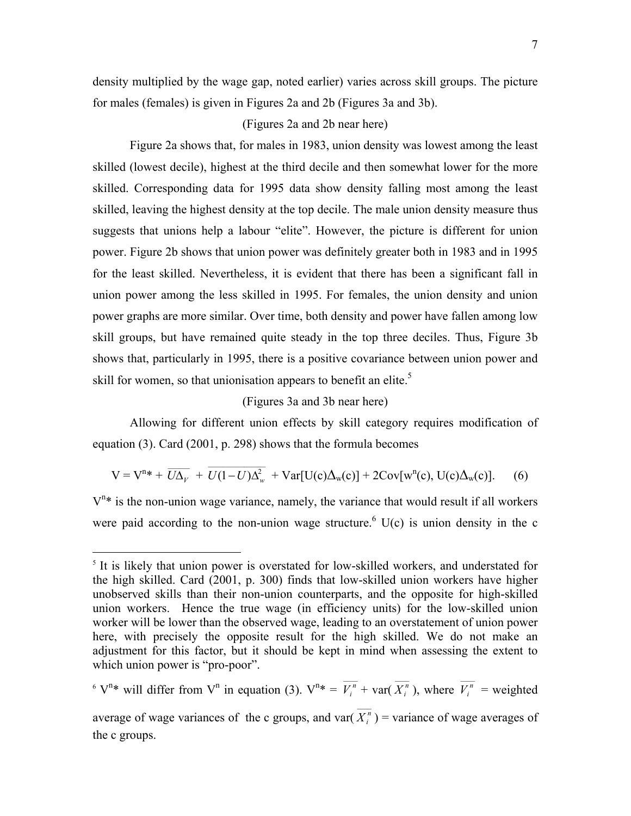density multiplied by the wage gap, noted earlier) varies across skill groups. The picture for males (females) is given in Figures 2a and 2b (Figures 3a and 3b).

#### (Figures 2a and 2b near here)

Figure 2a shows that, for males in 1983, union density was lowest among the least skilled (lowest decile), highest at the third decile and then somewhat lower for the more skilled. Corresponding data for 1995 data show density falling most among the least skilled, leaving the highest density at the top decile. The male union density measure thus suggests that unions help a labour "elite". However, the picture is different for union power. Figure 2b shows that union power was definitely greater both in 1983 and in 1995 for the least skilled. Nevertheless, it is evident that there has been a significant fall in union power among the less skilled in 1995. For females, the union density and union power graphs are more similar. Over time, both density and power have fallen among low skill groups, but have remained quite steady in the top three deciles. Thus, Figure 3b shows that, particularly in 1995, there is a positive covariance between union power and skill for women, so that unionisation appears to benefit an elite.<sup>5</sup>

## (Figures 3a and 3b near here)

Allowing for different union effects by skill category requires modification of equation (3). Card (2001, p. 298) shows that the formula becomes

 $\mathcal{L}_\text{max}$ 

 $\overline{a}$ 

$$
V = V^{n*} + \overline{U\Delta_V} + \overline{U(1-U)\Delta_w^2} + Var[U(c)\Delta_w(c)] + 2Cov[w^n(c), U(c)\Delta_w(c)].
$$
 (6)

 $V<sup>n</sup>$  is the non-union wage variance, namely, the variance that would result if all workers were paid according to the non-union wage structure. <sup>6</sup> U(c) is union density in the c

<span id="page-7-1"></span><sup>6</sup> V<sup>n</sup>\* will differ from V<sup>n</sup> in equation (3). V<sup>n</sup>\* =  $\overline{V_i^n}$  + var( $\overline{X_i^n}$ ), where  $\overline{V_i^n}$  = weighted average of wage variances of the c groups, and var $(X_i^n)$  = variance of wage averages of the c groups.  $\frac{1}{\sqrt{n}}$ *i*  $\overline{X_i^n}$ ), where  $\overline{V_i^n}$ *i*  $\frac{1}{\sqrt{n}}$ *i*

<span id="page-7-0"></span><sup>&</sup>lt;sup>5</sup> It is likely that union power is overstated for low-skilled workers, and understated for the high skilled. Card (2001, p. 300) finds that low-skilled union workers have higher unobserved skills than their non-union counterparts, and the opposite for high-skilled union workers. Hence the true wage (in efficiency units) for the low-skilled union worker will be lower than the observed wage, leading to an overstatement of union power here, with precisely the opposite result for the high skilled. We do not make an adjustment for this factor, but it should be kept in mind when assessing the extent to which union power is "pro-poor".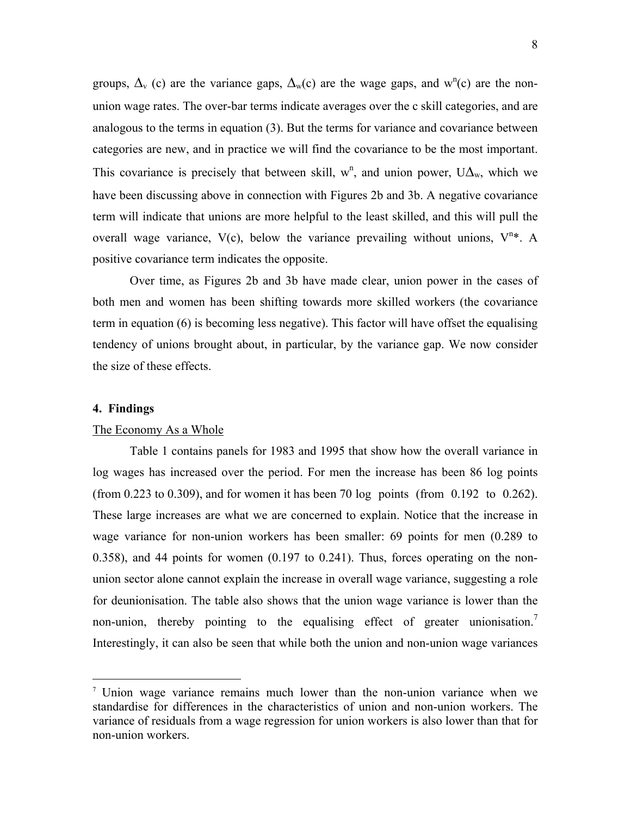groups,  $\Delta_{v}$  (c) are the variance gaps,  $\Delta_{w}(c)$  are the wage gaps, and w<sup>n</sup>(c) are the nonunion wage rates. The over-bar terms indicate averages over the c skill categories, and are analogous to the terms in equation (3). But the terms for variance and covariance between categories are new, and in practice we will find the covariance to be the most important. This covariance is precisely that between skill, w<sup>n</sup>, and union power, U $\Delta_w$ , which we have been discussing above in connection with Figures 2b and 3b. A negative covariance term will indicate that unions are more helpful to the least skilled, and this will pull the overall wage variance,  $V(c)$ , below the variance prevailing without unions,  $V^{n*}$ . A positive covariance term indicates the opposite.

Over time, as Figures 2b and 3b have made clear, union power in the cases of both men and women has been shifting towards more skilled workers (the covariance term in equation (6) is becoming less negative). This factor will have offset the equalising tendency of unions brought about, in particular, by the variance gap. We now consider the size of these effects.

## **4. Findings**

1

### The Economy As a Whole

Table 1 contains panels for 1983 and 1995 that show how the overall variance in log wages has increased over the period. For men the increase has been 86 log points (from  $0.223$  to  $0.309$ ), and for women it has been 70 log points (from  $0.192$  to  $0.262$ ). These large increases are what we are concerned to explain. Notice that the increase in wage variance for non-union workers has been smaller: 69 points for men (0.289 to 0.358), and 44 points for women (0.197 to 0.241). Thus, forces operating on the nonunion sector alone cannot explain the increase in overall wage variance, suggesting a role for deunionisation. The table also shows that the union wage variance is lower than the non-union, thereby pointing to the equalising effect of greater unionisation.<sup>[7](#page-8-0)</sup> Interestingly, it can also be seen that while both the union and non-union wage variances

<span id="page-8-0"></span><sup>7</sup> Union wage variance remains much lower than the non-union variance when we standardise for differences in the characteristics of union and non-union workers. The variance of residuals from a wage regression for union workers is also lower than that for non-union workers.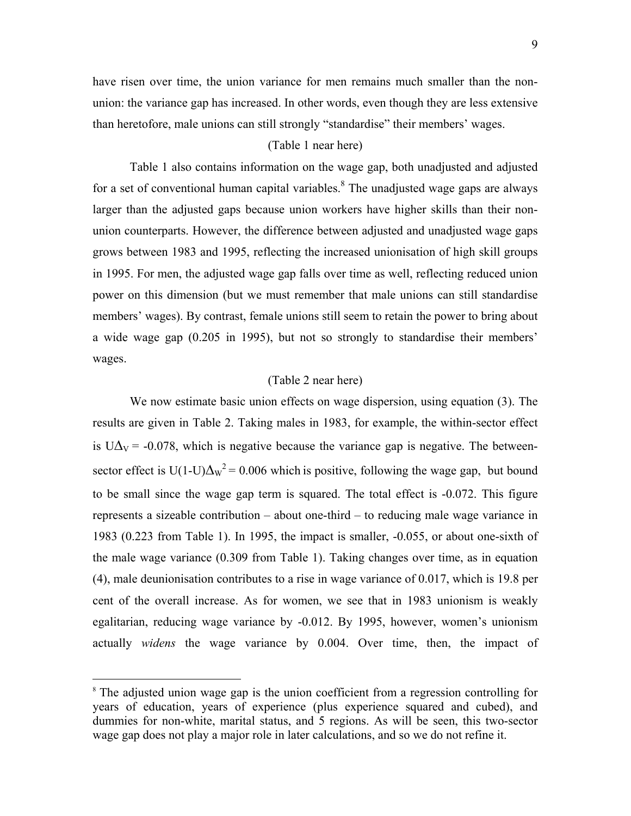have risen over time, the union variance for men remains much smaller than the nonunion: the variance gap has increased. In other words, even though they are less extensive than heretofore, male unions can still strongly "standardise" their members' wages.

## (Table 1 near here)

Table 1 also contains information on the wage gap, both unadjusted and adjusted for a set of conventional human capital variables.<sup>[8](#page-9-0)</sup> The unadjusted wage gaps are always larger than the adjusted gaps because union workers have higher skills than their nonunion counterparts. However, the difference between adjusted and unadjusted wage gaps grows between 1983 and 1995, reflecting the increased unionisation of high skill groups in 1995. For men, the adjusted wage gap falls over time as well, reflecting reduced union power on this dimension (but we must remember that male unions can still standardise members' wages). By contrast, female unions still seem to retain the power to bring about a wide wage gap (0.205 in 1995), but not so strongly to standardise their members' wages.

## (Table 2 near here)

We now estimate basic union effects on wage dispersion, using equation (3). The results are given in Table 2. Taking males in 1983, for example, the within-sector effect is  $U\Delta_V$  = -0.078, which is negative because the variance gap is negative. The betweensector effect is U(1-U) $\Delta w^2$  = 0.006 which is positive, following the wage gap, but bound to be small since the wage gap term is squared. The total effect is -0.072. This figure represents a sizeable contribution – about one-third – to reducing male wage variance in 1983 (0.223 from Table 1). In 1995, the impact is smaller, -0.055, or about one-sixth of the male wage variance (0.309 from Table 1). Taking changes over time, as in equation (4), male deunionisation contributes to a rise in wage variance of 0.017, which is 19.8 per cent of the overall increase. As for women, we see that in 1983 unionism is weakly egalitarian, reducing wage variance by -0.012. By 1995, however, women's unionism actually *widens* the wage variance by 0.004. Over time, then, the impact of

1

<span id="page-9-0"></span><sup>&</sup>lt;sup>8</sup> The adjusted union wage gap is the union coefficient from a regression controlling for years of education, years of experience (plus experience squared and cubed), and dummies for non-white, marital status, and 5 regions. As will be seen, this two-sector wage gap does not play a major role in later calculations, and so we do not refine it.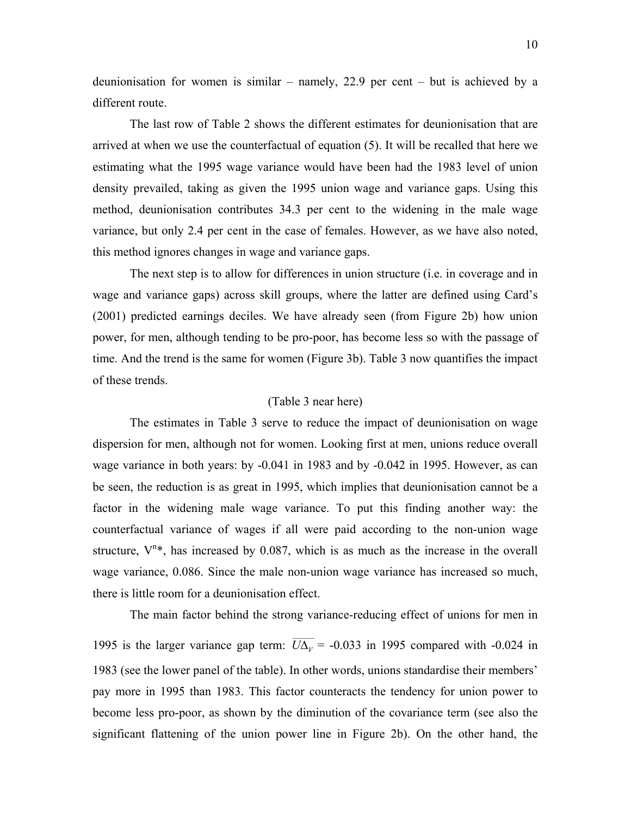deunionisation for women is similar – namely, 22.9 per cent – but is achieved by a different route.

The last row of Table 2 shows the different estimates for deunionisation that are arrived at when we use the counterfactual of equation (5). It will be recalled that here we estimating what the 1995 wage variance would have been had the 1983 level of union density prevailed, taking as given the 1995 union wage and variance gaps. Using this method, deunionisation contributes 34.3 per cent to the widening in the male wage variance, but only 2.4 per cent in the case of females. However, as we have also noted, this method ignores changes in wage and variance gaps.

The next step is to allow for differences in union structure (i.e. in coverage and in wage and variance gaps) across skill groups, where the latter are defined using Card's (2001) predicted earnings deciles. We have already seen (from Figure 2b) how union power, for men, although tending to be pro-poor, has become less so with the passage of time. And the trend is the same for women (Figure 3b). Table 3 now quantifies the impact of these trends.

#### (Table 3 near here)

The estimates in Table 3 serve to reduce the impact of deunionisation on wage dispersion for men, although not for women. Looking first at men, unions reduce overall wage variance in both years: by -0.041 in 1983 and by -0.042 in 1995. However, as can be seen, the reduction is as great in 1995, which implies that deunionisation cannot be a factor in the widening male wage variance. To put this finding another way: the counterfactual variance of wages if all were paid according to the non-union wage structure,  $V^{n*}$ , has increased by 0.087, which is as much as the increase in the overall wage variance, 0.086. Since the male non-union wage variance has increased so much, there is little room for a deunionisation effect.

The main factor behind the strong variance-reducing effect of unions for men in 1995 is the larger variance gap term:  $\overline{U\Delta_V}$  = -0.033 in 1995 compared with -0.024 in 1983 (see the lower panel of the table). In other words, unions standardise their members' pay more in 1995 than 1983. This factor counteracts the tendency for union power to become less pro-poor, as shown by the diminution of the covariance term (see also the significant flattening of the union power line in Figure 2b). On the other hand, the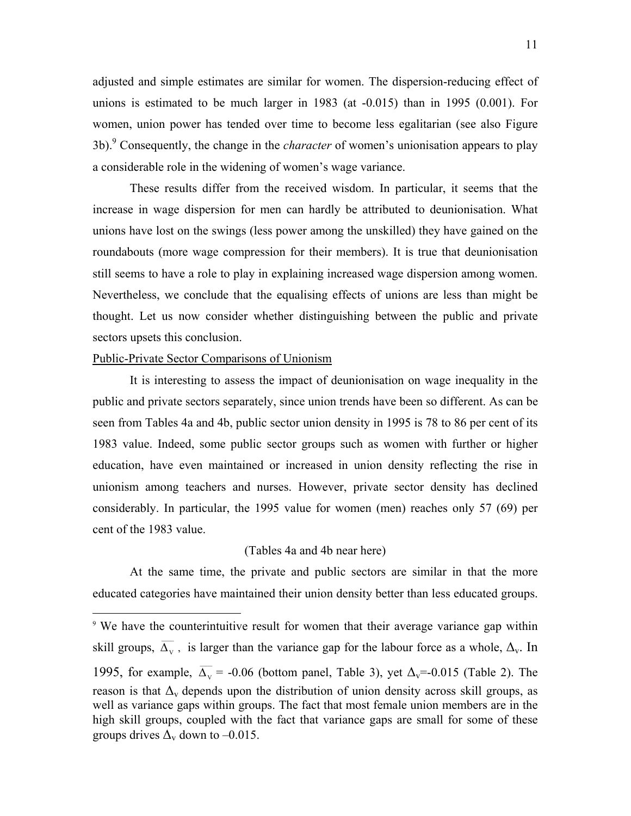adjusted and simple estimates are similar for women. The dispersion-reducing effect of unions is estimated to be much larger in 1983 (at -0.015) than in 1995 (0.001). For women, union power has tended over time to become less egalitarian (see also Figure 3b)[.9](#page-11-0) Consequently, the change in the *character* of women's unionisation appears to play a considerable role in the widening of women's wage variance.

These results differ from the received wisdom. In particular, it seems that the increase in wage dispersion for men can hardly be attributed to deunionisation. What unions have lost on the swings (less power among the unskilled) they have gained on the roundabouts (more wage compression for their members). It is true that deunionisation still seems to have a role to play in explaining increased wage dispersion among women. Nevertheless, we conclude that the equalising effects of unions are less than might be thought. Let us now consider whether distinguishing between the public and private sectors upsets this conclusion.

#### Public-Private Sector Comparisons of Unionism

 $\overline{a}$ 

It is interesting to assess the impact of deunionisation on wage inequality in the public and private sectors separately, since union trends have been so different. As can be seen from Tables 4a and 4b, public sector union density in 1995 is 78 to 86 per cent of its 1983 value. Indeed, some public sector groups such as women with further or higher education, have even maintained or increased in union density reflecting the rise in unionism among teachers and nurses. However, private sector density has declined considerably. In particular, the 1995 value for women (men) reaches only 57 (69) per cent of the 1983 value.

# (Tables 4a and 4b near here)

At the same time, the private and public sectors are similar in that the more educated categories have maintained their union density better than less educated groups.

<span id="page-11-0"></span><sup>&</sup>lt;sup>9</sup> We have the counterintuitive result for women that their average variance gap within skill groups,  $\overline{\Delta_v}$ , is larger than the variance gap for the labour force as a whole,  $\Delta_v$ . In 1995, for example,  $\overline{\Delta_v}$  = -0.06 (bottom panel, Table 3), yet  $\Delta_v$ =-0.015 (Table 2). The reason is that  $\Delta_{\rm v}$  depends upon the distribution of union density across skill groups, as well as variance gaps within groups. The fact that most female union members are in the high skill groups, coupled with the fact that variance gaps are small for some of these groups drives  $\Delta_{\rm v}$  down to –0.015. V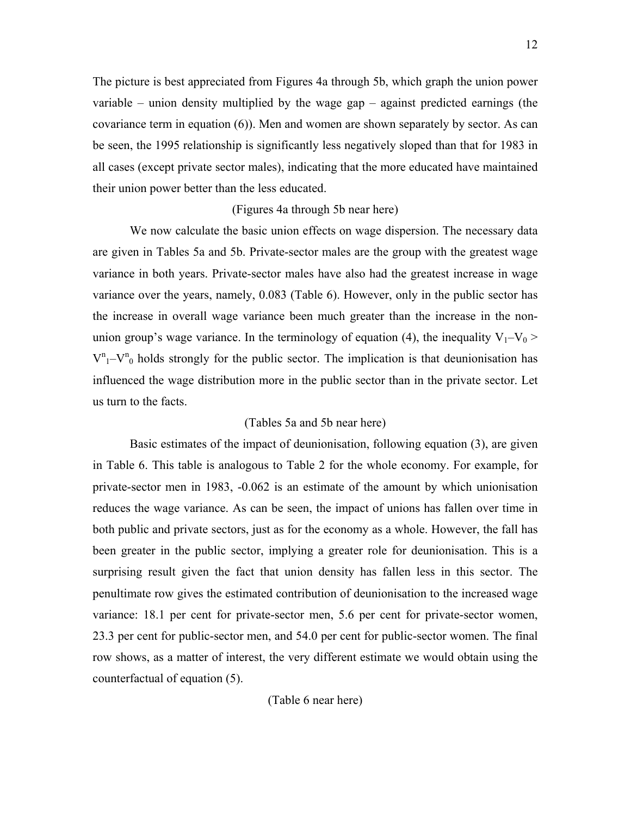The picture is best appreciated from Figures 4a through 5b, which graph the union power variable – union density multiplied by the wage gap – against predicted earnings (the covariance term in equation (6)). Men and women are shown separately by sector. As can be seen, the 1995 relationship is significantly less negatively sloped than that for 1983 in all cases (except private sector males), indicating that the more educated have maintained their union power better than the less educated.

## (Figures 4a through 5b near here)

 We now calculate the basic union effects on wage dispersion. The necessary data are given in Tables 5a and 5b. Private-sector males are the group with the greatest wage variance in both years. Private-sector males have also had the greatest increase in wage variance over the years, namely, 0.083 (Table 6). However, only in the public sector has the increase in overall wage variance been much greater than the increase in the nonunion group's wage variance. In the terminology of equation (4), the inequality  $V_1-V_0$  >  $V_{1}^{n}-V_{0}^{n}$  holds strongly for the public sector. The implication is that deunionisation has influenced the wage distribution more in the public sector than in the private sector. Let us turn to the facts.

## (Tables 5a and 5b near here)

 Basic estimates of the impact of deunionisation, following equation (3), are given in Table 6. This table is analogous to Table 2 for the whole economy. For example, for private-sector men in 1983, -0.062 is an estimate of the amount by which unionisation reduces the wage variance. As can be seen, the impact of unions has fallen over time in both public and private sectors, just as for the economy as a whole. However, the fall has been greater in the public sector, implying a greater role for deunionisation. This is a surprising result given the fact that union density has fallen less in this sector. The penultimate row gives the estimated contribution of deunionisation to the increased wage variance: 18.1 per cent for private-sector men, 5.6 per cent for private-sector women, 23.3 per cent for public-sector men, and 54.0 per cent for public-sector women. The final row shows, as a matter of interest, the very different estimate we would obtain using the counterfactual of equation (5).

(Table 6 near here)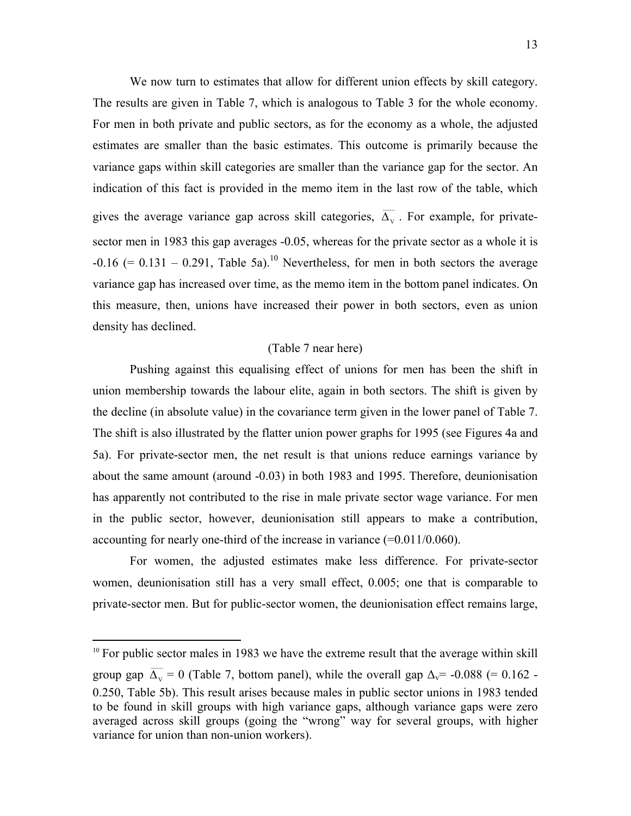We now turn to estimates that allow for different union effects by skill category. The results are given in Table 7, which is analogous to Table 3 for the whole economy. For men in both private and public sectors, as for the economy as a whole, the adjusted estimates are smaller than the basic estimates. This outcome is primarily because the variance gaps within skill categories are smaller than the variance gap for the sector. An indication of this fact is provided in the memo item in the last row of the table, which gives the average variance gap across skill categories,  $\overline{\Delta_v}$  . For example, for privatesector men in 1983 this gap averages  $-0.05$ , whereas for the private sector as a whole it is  $-0.16$  (= 0.131 – 0.291, Table 5a).<sup>10</sup> Nevertheless, for men in both sectors the average variance gap has increased over time, as the memo item in the bottom panel indicates. On this measure, then, unions have increased their power in both sectors, even as union density has declined.

#### (Table 7 near here)

Pushing against this equalising effect of unions for men has been the shift in union membership towards the labour elite, again in both sectors. The shift is given by the decline (in absolute value) in the covariance term given in the lower panel of Table 7. The shift is also illustrated by the flatter union power graphs for 1995 (see Figures 4a and 5a). For private-sector men, the net result is that unions reduce earnings variance by about the same amount (around -0.03) in both 1983 and 1995. Therefore, deunionisation has apparently not contributed to the rise in male private sector wage variance. For men in the public sector, however, deunionisation still appears to make a contribution, accounting for nearly one-third of the increase in variance (=0.011/0.060).

For women, the adjusted estimates make less difference. For private-sector women, deunionisation still has a very small effect, 0.005; one that is comparable to private-sector men. But for public-sector women, the deunionisation effect remains large,

 $\overline{a}$ 

<span id="page-13-0"></span><sup>&</sup>lt;sup>10</sup> For public sector males in 1983 we have the extreme result that the average within skill group gap  $\overline{\Delta_v} = 0$  (Table 7, bottom panel), while the overall gap  $\Delta_v = -0.088$  (= 0.162 -0.250, Table 5b). This result arises because males in public sector unions in 1983 tended to be found in skill groups with high variance gaps, although variance gaps were zero averaged across skill groups (going the "wrong" way for several groups, with higher variance for union than non-union workers).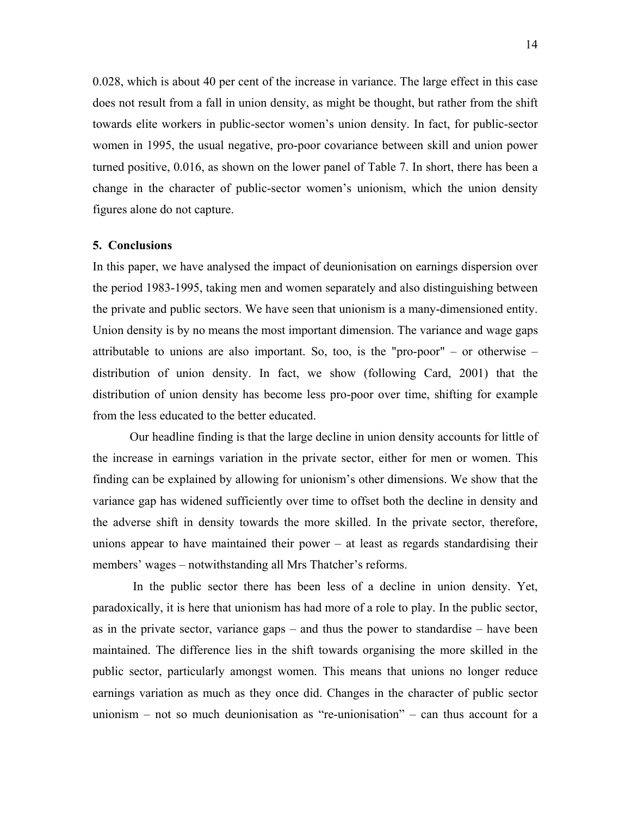0.028, which is about 40 per cent of the increase in variance. The large effect in this case does not result from a fall in union density, as might be thought, but rather from the shift towards elite workers in public-sector women's union density. In fact, for public-sector women in 1995, the usual negative, pro-poor covariance between skill and union power turned positive, 0.016, as shown on the lower panel of Table 7. In short, there has been a change in the character of public-sector women's unionism, which the union density figures alone do not capture.

#### **5. Conclusions**

In this paper, we have analysed the impact of deunionisation on earnings dispersion over the period 1983-1995, taking men and women separately and also distinguishing between the private and public sectors. We have seen that unionism is a many-dimensioned entity. Union density is by no means the most important dimension. The variance and wage gaps attributable to unions are also important. So, too, is the "pro-poor" – or otherwise – distribution of union density. In fact, we show (following Card, 2001) that the distribution of union density has become less pro-poor over time, shifting for example from the less educated to the better educated.

Our headline finding is that the large decline in union density accounts for little of the increase in earnings variation in the private sector, either for men or women. This finding can be explained by allowing for unionism's other dimensions. We show that the variance gap has widened sufficiently over time to offset both the decline in density and the adverse shift in density towards the more skilled. In the private sector, therefore, unions appear to have maintained their power – at least as regards standardising their members' wages – notwithstanding all Mrs Thatcher's reforms.

 In the public sector there has been less of a decline in union density. Yet, paradoxically, it is here that unionism has had more of a role to play. In the public sector, as in the private sector, variance gaps – and thus the power to standardise – have been maintained. The difference lies in the shift towards organising the more skilled in the public sector, particularly amongst women. This means that unions no longer reduce earnings variation as much as they once did. Changes in the character of public sector unionism – not so much deunionisation as "re-unionisation" – can thus account for a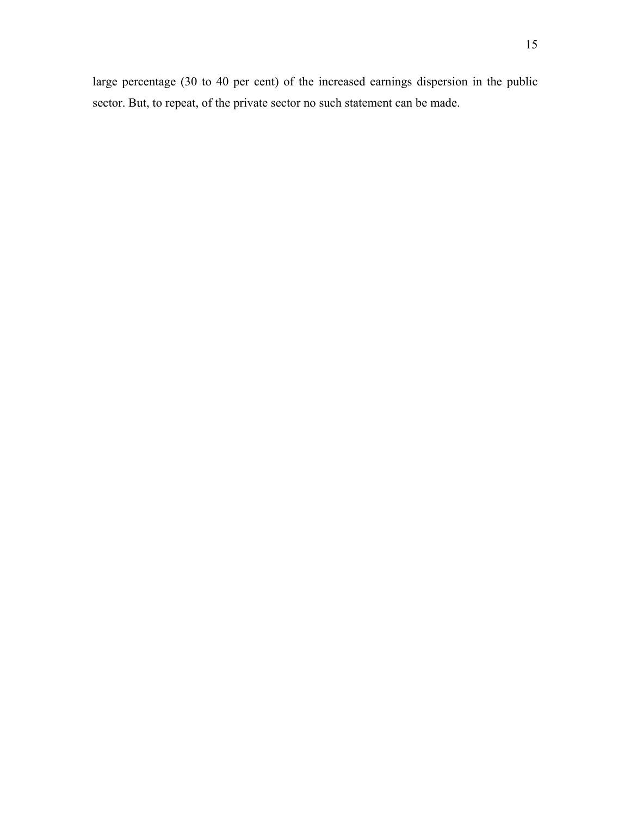large percentage (30 to 40 per cent) of the increased earnings dispersion in the public sector. But, to repeat, of the private sector no such statement can be made.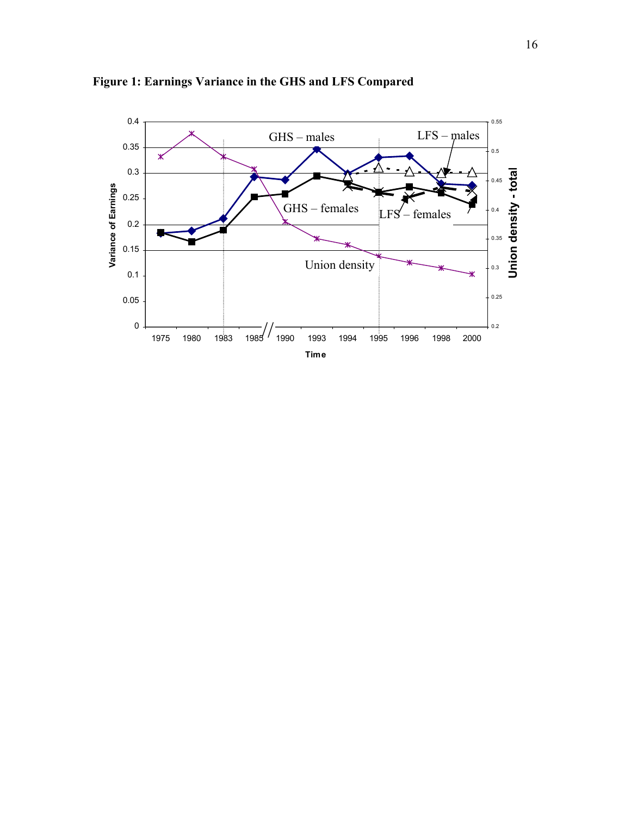

**Figure 1: Earnings Variance in the GHS and LFS Compared**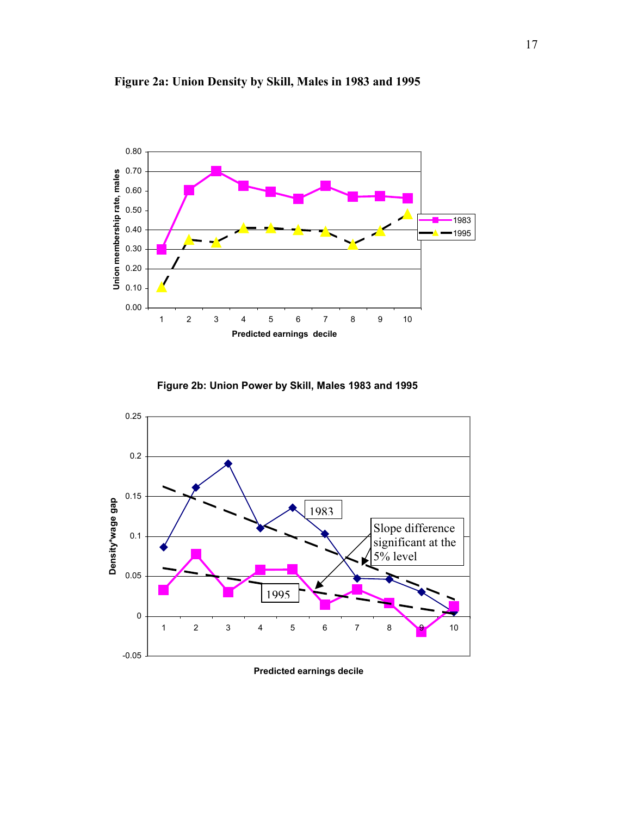

 **Figure 2a: Union Density by Skill, Males in 1983 and 1995**





#### **Predicted earnings decile**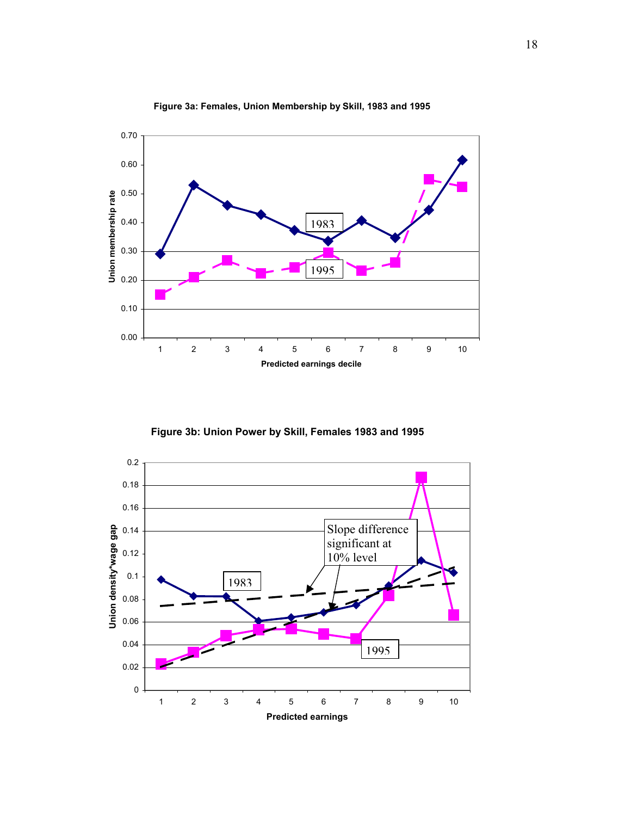

#### **Figure 3a: Females, Union Membership by Skill, 1983 and 1995**

**Figure 3b: Union Power by Skill, Females 1983 and 1995**



18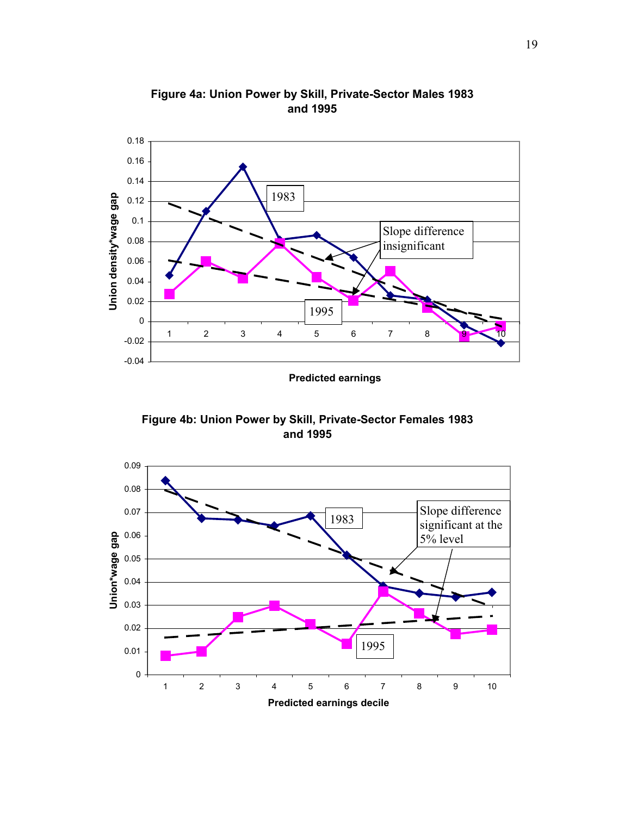

**Figure 4a: Union Power by Skill, Private-Sector Males 1983 and 1995**

**Predicted earnings**



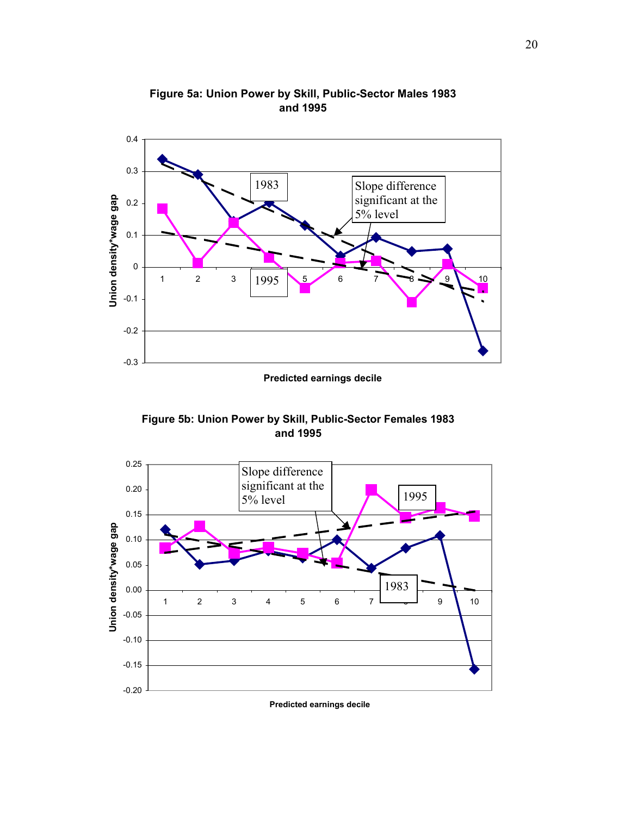

**Figure 5a: Union Power by Skill, Public-Sector Males 1983 and 1995**

**Predicted earnings decile**





**Predicted earnings decile**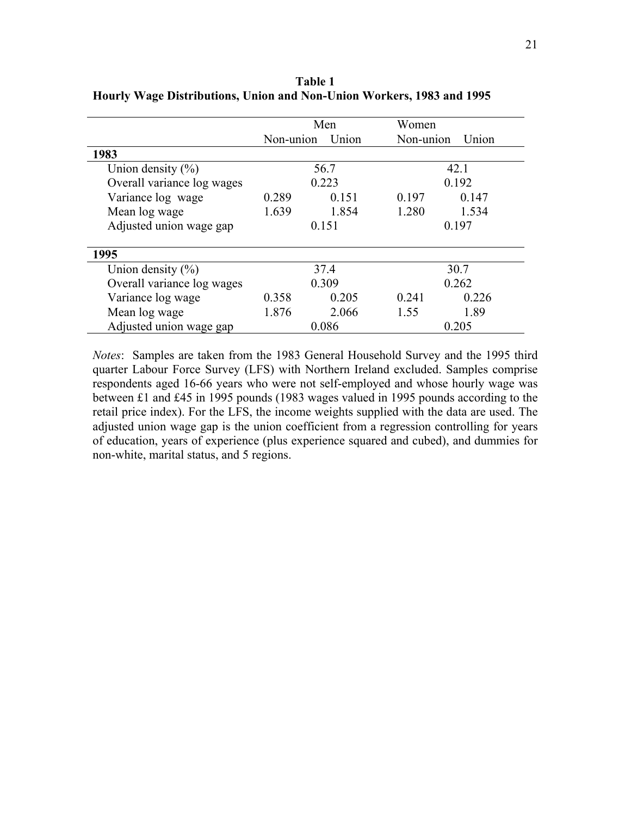|                            | Men            |       | Women     |       |
|----------------------------|----------------|-------|-----------|-------|
|                            | Non-union      | Union | Non-union | Union |
| 1983                       |                |       |           |       |
| Union density $(\% )$      |                | 56.7  |           | 42.1  |
| Overall variance log wages |                | 0.223 |           | 0.192 |
| Variance log wage          | 0.289          | 0.151 | 0.197     | 0.147 |
| Mean log wage              | 1.639          | 1.854 | 1.280     | 1.534 |
| Adjusted union wage gap    | 0.151          |       | 0.197     |       |
|                            |                |       |           |       |
| 1995                       |                |       |           |       |
| Union density $(\% )$      |                | 37.4  | 30.7      |       |
| Overall variance log wages | 0.309          |       |           | 0.262 |
| Variance log wage          | 0.358          | 0.205 | 0.241     | 0.226 |
| Mean log wage              | 1.876          | 2.066 | 1.55      | 1.89  |
| Adjusted union wage gap    | 0.086<br>0.205 |       |           |       |

**Table 1 Hourly Wage Distributions, Union and Non-Union Workers, 1983 and 1995**

*Notes*: Samples are taken from the 1983 General Household Survey and the 1995 third quarter Labour Force Survey (LFS) with Northern Ireland excluded. Samples comprise respondents aged 16-66 years who were not self-employed and whose hourly wage was between £1 and £45 in 1995 pounds (1983 wages valued in 1995 pounds according to the retail price index). For the LFS, the income weights supplied with the data are used. The adjusted union wage gap is the union coefficient from a regression controlling for years of education, years of experience (plus experience squared and cubed), and dummies for non-white, marital status, and 5 regions.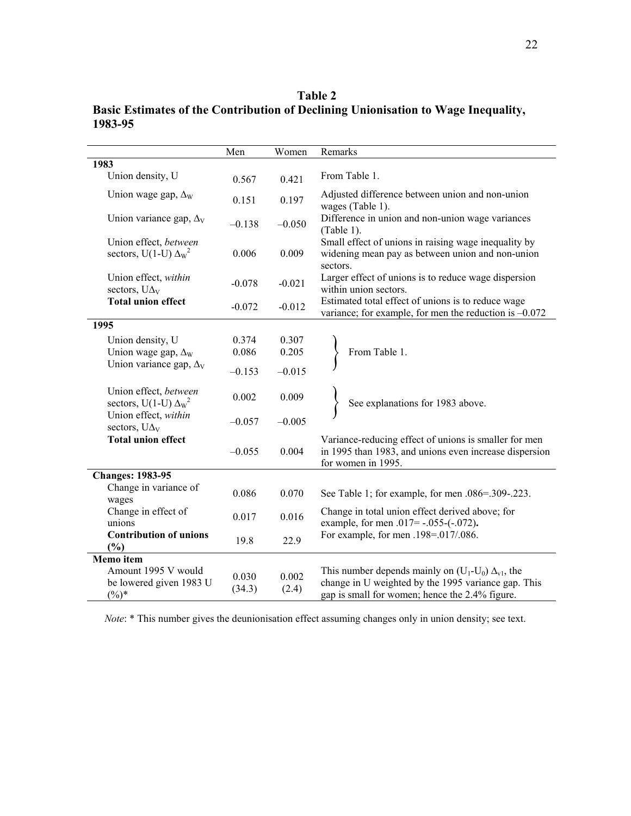**Table 2 Basic Estimates of the Contribution of Declining Unionisation to Wage Inequality, 1983-95**

|                                                            | Men             | Women          | Remarks                                                                                                                                                              |
|------------------------------------------------------------|-----------------|----------------|----------------------------------------------------------------------------------------------------------------------------------------------------------------------|
| 1983                                                       |                 |                |                                                                                                                                                                      |
| Union density, U                                           | 0.567           | 0.421          | From Table 1.                                                                                                                                                        |
| Union wage gap, $\Delta_W$                                 | 0.151           | 0.197          | Adjusted difference between union and non-union<br>wages (Table 1).                                                                                                  |
| Union variance gap, $\Delta$ <sub>V</sub>                  | $-0.138$        | $-0.050$       | Difference in union and non-union wage variances<br>(Table 1).                                                                                                       |
| Union effect, between<br>sectors, U(1-U) $\Delta w^2$      | 0.006           | 0.009          | Small effect of unions in raising wage inequality by<br>widening mean pay as between union and non-union<br>sectors.                                                 |
| Union effect, within<br>sectors, $U\Delta_V$               | $-0.078$        | $-0.021$       | Larger effect of unions is to reduce wage dispersion<br>within union sectors.                                                                                        |
| <b>Total union effect</b>                                  | $-0.072$        | $-0.012$       | Estimated total effect of unions is to reduce wage<br>variance; for example, for men the reduction is $-0.072$                                                       |
| 1995                                                       |                 |                |                                                                                                                                                                      |
| Union density, U                                           | 0.374           | 0.307          |                                                                                                                                                                      |
| Union wage gap, $\Delta_W$                                 | 0.086           | 0.205          | From Table 1.                                                                                                                                                        |
| Union variance gap, $\Delta$ <sub>V</sub>                  | $-0.153$        | $-0.015$       |                                                                                                                                                                      |
| Union effect, between<br>sectors, U(1-U) $\Delta w^2$      | 0.002           | 0.009          | See explanations for 1983 above.                                                                                                                                     |
| Union effect, within<br>sectors, $U\Delta_V$               | $-0.057$        | $-0.005$       |                                                                                                                                                                      |
| <b>Total union effect</b>                                  | $-0.055$        | 0.004          | Variance-reducing effect of unions is smaller for men<br>in 1995 than 1983, and unions even increase dispersion<br>for women in 1995.                                |
| <b>Changes: 1983-95</b>                                    |                 |                |                                                                                                                                                                      |
| Change in variance of<br>wages                             | 0.086           | 0.070          | See Table 1; for example, for men .086=.309-.223.                                                                                                                    |
| Change in effect of<br>unions                              | 0.017           | 0.016          | Change in total union effect derived above; for<br>example, for men .017= -.055-(-.072).                                                                             |
| <b>Contribution of unions</b><br>$(\%)$                    | 19.8            | 22.9           | For example, for men .198=.017/.086.                                                                                                                                 |
| Memo item                                                  |                 |                |                                                                                                                                                                      |
| Amount 1995 V would<br>be lowered given 1983 U<br>$(\%)^*$ | 0.030<br>(34.3) | 0.002<br>(2.4) | This number depends mainly on $(U_1-U_0) \Delta_{v1}$ , the<br>change in U weighted by the 1995 variance gap. This<br>gap is small for women; hence the 2.4% figure. |

*Note*: \* This number gives the deunionisation effect assuming changes only in union density; see text.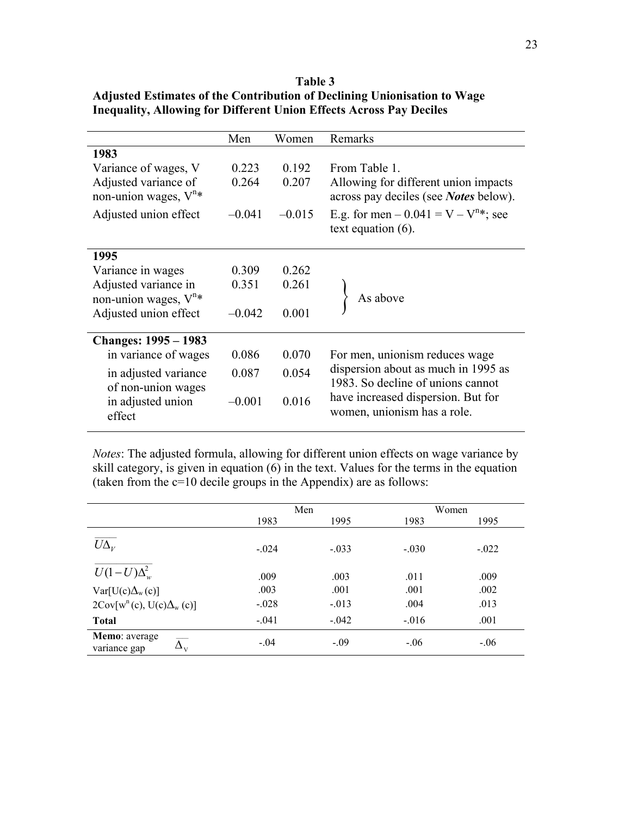| Table 3                                                                         |  |
|---------------------------------------------------------------------------------|--|
| <b>Adjusted Estimates of the Contribution of Declining Unionisation to Wage</b> |  |
| <b>Inequality, Allowing for Different Union Effects Across Pay Deciles</b>      |  |

|                             | Men      | Women    | Remarks                                      |
|-----------------------------|----------|----------|----------------------------------------------|
| 1983                        |          |          |                                              |
| Variance of wages, V        | 0.223    | 0.192    | From Table 1.                                |
| Adjusted variance of        | 0.264    | 0.207    | Allowing for different union impacts         |
| non-union wages, $V^{n*}$   |          |          | across pay deciles (see <i>Notes</i> below). |
| Adjusted union effect       | $-0.041$ | $-0.015$ | E.g. for men – $0.041 = V - V^{n*}$ ; see    |
|                             |          |          | text equation $(6)$ .                        |
|                             |          |          |                                              |
| 1995                        |          |          |                                              |
| Variance in wages           | 0.309    | 0.262    |                                              |
| Adjusted variance in        | 0.351    | 0.261    |                                              |
| non-union wages, $V^{n*}$   |          |          | As above                                     |
| Adjusted union effect       | $-0.042$ | 0.001    |                                              |
|                             |          |          |                                              |
| <b>Changes: 1995 – 1983</b> |          |          |                                              |
| in variance of wages        | 0.086    | 0.070    | For men, unionism reduces wage               |
| in adjusted variance        | 0.087    | 0.054    | dispersion about as much in 1995 as          |
| of non-union wages          |          |          | 1983. So decline of unions cannot            |
| in adjusted union           | $-0.001$ | 0.016    | have increased dispersion. But for           |
| effect                      |          |          | women, unionism has a role.                  |
|                             |          |          |                                              |

*Notes*: The adjusted formula, allowing for different union effects on wage variance by skill category, is given in equation (6) in the text. Values for the terms in the equation (taken from the c=10 decile groups in the Appendix) are as follows:

|                                                      | Men     |         |         | Women   |
|------------------------------------------------------|---------|---------|---------|---------|
|                                                      | 1983    | 1995    | 1983    | 1995    |
| $U\!\Delta_V$                                        | $-.024$ | $-.033$ | $-.030$ | $-.022$ |
| $U(1-U)\Delta_w^2$                                   | .009    | .003    | .011    | .009    |
| $Var[U(c)\Delta_w(c)]$                               | .003    | .001    | .001    | .002    |
| $2\text{Cov}[w^n(c), U(c)\Delta_w(c)]$               | $-.028$ | $-.013$ | .004    | .013    |
| <b>Total</b>                                         | $-.041$ | $-.042$ | $-.016$ | .001    |
| Memo: average<br>$\Delta_{_{\rm V}}$<br>variance gap | $-.04$  | $-.09$  | $-.06$  | $-.06$  |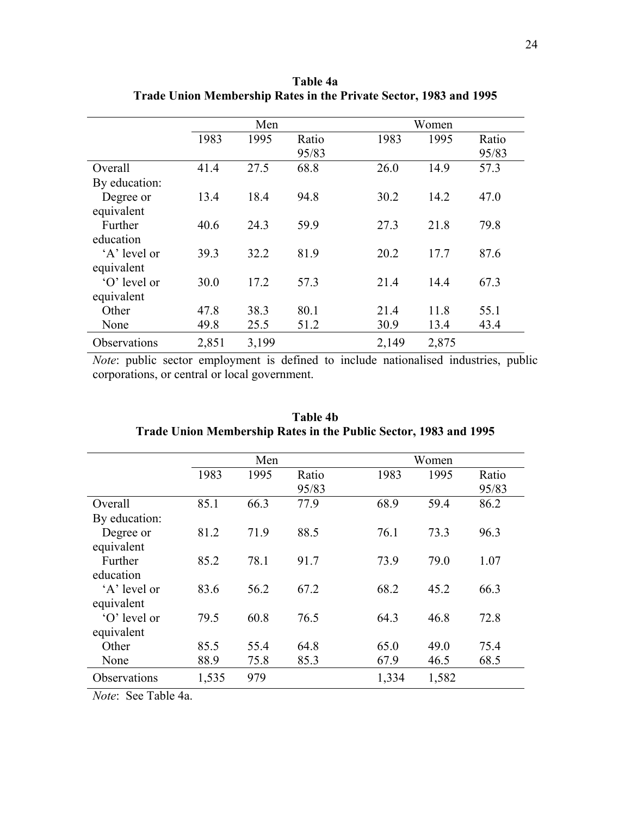|               |       | Men   |                |       | Women |                |
|---------------|-------|-------|----------------|-------|-------|----------------|
|               | 1983  | 1995  | Ratio<br>95/83 | 1983  | 1995  | Ratio<br>95/83 |
| Overall       | 41.4  | 27.5  | 68.8           | 26.0  | 14.9  | 57.3           |
| By education: |       |       |                |       |       |                |
| Degree or     | 13.4  | 18.4  | 94.8           | 30.2  | 14.2  | 47.0           |
| equivalent    |       |       |                |       |       |                |
| Further       | 40.6  | 24.3  | 59.9           | 27.3  | 21.8  | 79.8           |
| education     |       |       |                |       |       |                |
| 'A' level or  | 39.3  | 32.2  | 81.9           | 20.2  | 17.7  | 87.6           |
| equivalent    |       |       |                |       |       |                |
| 'O' level or  | 30.0  | 17.2  | 57.3           | 21.4  | 14.4  | 67.3           |
| equivalent    |       |       |                |       |       |                |
| Other         | 47.8  | 38.3  | 80.1           | 21.4  | 11.8  | 55.1           |
| None          | 49.8  | 25.5  | 51.2           | 30.9  | 13.4  | 43.4           |
| Observations  | 2,851 | 3,199 |                | 2,149 | 2,875 |                |

**Table 4a Trade Union Membership Rates in the Private Sector, 1983 and 1995** 

*Note*: public sector employment is defined to include nationalised industries, public corporations, or central or local government.

|               |       | Men  |                |       | Women |                |
|---------------|-------|------|----------------|-------|-------|----------------|
|               | 1983  | 1995 | Ratio<br>95/83 | 1983  | 1995  | Ratio<br>95/83 |
| Overall       | 85.1  | 66.3 | 77.9           | 68.9  | 59.4  | 86.2           |
| By education: |       |      |                |       |       |                |
| Degree or     | 81.2  | 71.9 | 88.5           | 76.1  | 73.3  | 96.3           |
| equivalent    |       |      |                |       |       |                |
| Further       | 85.2  | 78.1 | 91.7           | 73.9  | 79.0  | 1.07           |
| education     |       |      |                |       |       |                |
| 'A' level or  | 83.6  | 56.2 | 67.2           | 68.2  | 45.2  | 66.3           |
| equivalent    |       |      |                |       |       |                |
| 'O' level or  | 79.5  | 60.8 | 76.5           | 64.3  | 46.8  | 72.8           |
| equivalent    |       |      |                |       |       |                |
| Other         | 85.5  | 55.4 | 64.8           | 65.0  | 49.0  | 75.4           |
| None          | 88.9  | 75.8 | 85.3           | 67.9  | 46.5  | 68.5           |
| Observations  | 1,535 | 979  |                | 1,334 | 1,582 |                |

**Table 4b Trade Union Membership Rates in the Public Sector, 1983 and 1995** 

*Note*: See Table 4a.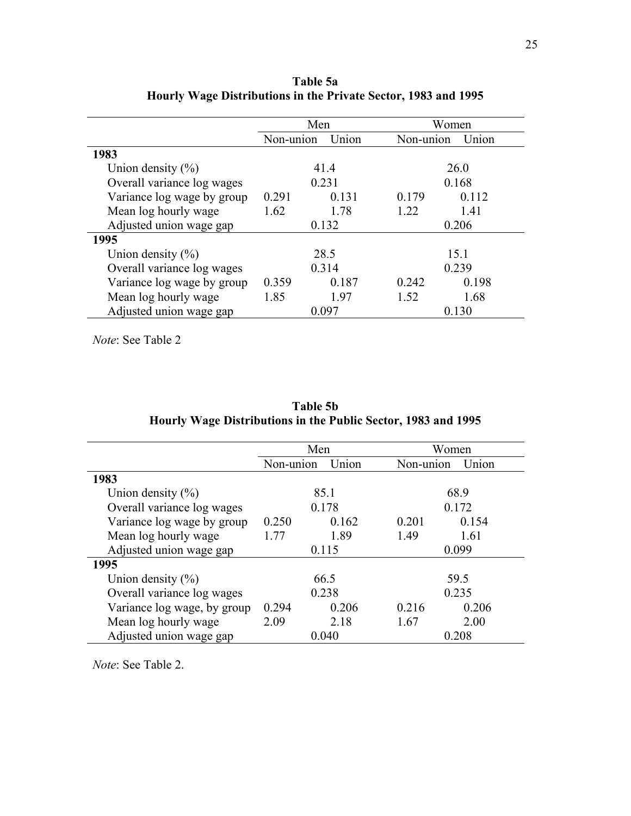|                            | Men                |       |           | Women |  |
|----------------------------|--------------------|-------|-----------|-------|--|
|                            | Union<br>Non-union |       | Non-union | Union |  |
| 1983                       |                    |       |           |       |  |
| Union density $(\% )$      | 41.4<br>26.0       |       |           |       |  |
| Overall variance log wages | 0.231              |       |           | 0.168 |  |
| Variance log wage by group | 0.291              | 0.131 | 0.179     | 0.112 |  |
| Mean log hourly wage       | 1.62               | 1.78  | 1.22      | 1.41  |  |
| Adjusted union wage gap    | 0.132              |       |           | 0.206 |  |
| 1995                       |                    |       |           |       |  |
| Union density $(\% )$      |                    | 28.5  |           | 15.1  |  |
| Overall variance log wages | 0.314<br>0.239     |       |           |       |  |
| Variance log wage by group | 0.359              | 0.187 | 0.242     | 0.198 |  |
| Mean log hourly wage       | 1.85               | 1.97  | 1.52      | 1.68  |  |
| Adjusted union wage gap    | 0.097<br>0.130     |       |           |       |  |

**Table 5a Hourly Wage Distributions in the Private Sector, 1983 and 1995**

*Note*: See Table 2

|                             | Men                |       | Women              |       |
|-----------------------------|--------------------|-------|--------------------|-------|
|                             | Union<br>Non-union |       | Non-union<br>Union |       |
| 1983                        |                    |       |                    |       |
| Union density $(\% )$       |                    | 85.1  |                    | 68.9  |
| Overall variance log wages  | 0.178<br>0.172     |       |                    |       |
| Variance log wage by group  | 0.250              | 0.162 | 0.201              | 0.154 |
| Mean log hourly wage        | 1.77               | 1.89  | 1.49               | 1.61  |
| Adjusted union wage gap     |                    | 0.115 |                    | 0.099 |
| 1995                        |                    |       |                    |       |
| Union density $(\% )$       |                    | 66.5  |                    | 59.5  |
| Overall variance log wages  | 0.238<br>0.235     |       |                    |       |
| Variance log wage, by group | 0.294              | 0.206 | 0.216              | 0.206 |
| Mean log hourly wage        | 2.09               | 2.18  | 1.67               | 2.00  |
| Adjusted union wage gap     | 0.040              |       | 0.208              |       |

**Table 5b Hourly Wage Distributions in the Public Sector, 1983 and 1995**

*Note*: See Table 2.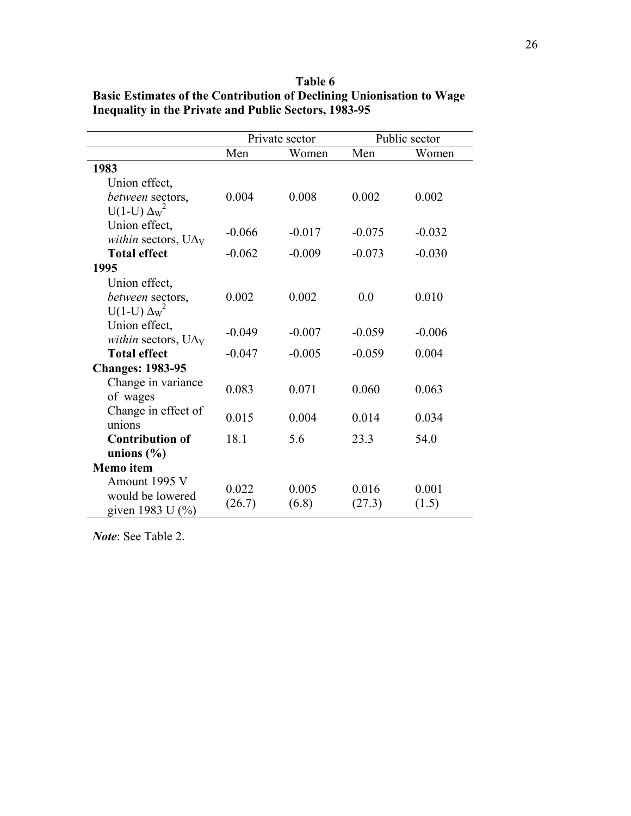|                             |          | Private sector | Public sector |          |
|-----------------------------|----------|----------------|---------------|----------|
|                             | Men      | Women          | Men           | Women    |
| 1983                        |          |                |               |          |
| Union effect,               |          |                |               |          |
| between sectors,            | 0.004    | 0.008          | 0.002         | 0.002    |
| $U(1-U) \Delta w^2$         |          |                |               |          |
| Union effect,               | $-0.066$ | $-0.017$       | $-0.075$      | $-0.032$ |
| within sectors, $U\Delta_V$ |          |                |               |          |
| <b>Total effect</b>         | $-0.062$ | $-0.009$       | $-0.073$      | $-0.030$ |
| 1995                        |          |                |               |          |
| Union effect,               |          |                |               |          |
| between sectors,            | 0.002    | 0.002          | 0.0           | 0.010    |
| $U(1-U) \Delta w^2$         |          |                |               |          |
| Union effect,               | $-0.049$ | $-0.007$       | $-0.059$      | $-0.006$ |
| within sectors, $U\Delta_V$ |          |                |               |          |
| <b>Total effect</b>         | $-0.047$ | $-0.005$       | $-0.059$      | 0.004    |
| <b>Changes: 1983-95</b>     |          |                |               |          |
| Change in variance          | 0.083    | 0.071          | 0.060         | 0.063    |
| of wages                    |          |                |               |          |
| Change in effect of         | 0.015    | 0.004          | 0.014         | 0.034    |
| unions                      |          |                |               |          |
| <b>Contribution of</b>      | 18.1     | 5.6            | 23.3          | 54.0     |
| unions $(\% )$              |          |                |               |          |
| <b>Memo</b> item            |          |                |               |          |
| Amount 1995 V               | 0.022    | 0.005          | 0.016         | 0.001    |
| would be lowered            | (26.7)   | (6.8)          | (27.3)        | (1.5)    |
| given 1983 U (%)            |          |                |               |          |

**Table 6 Basic Estimates of the Contribution of Declining Unionisation to Wage Inequality in the Private and Public Sectors, 1983-95**

*Note*: See Table 2.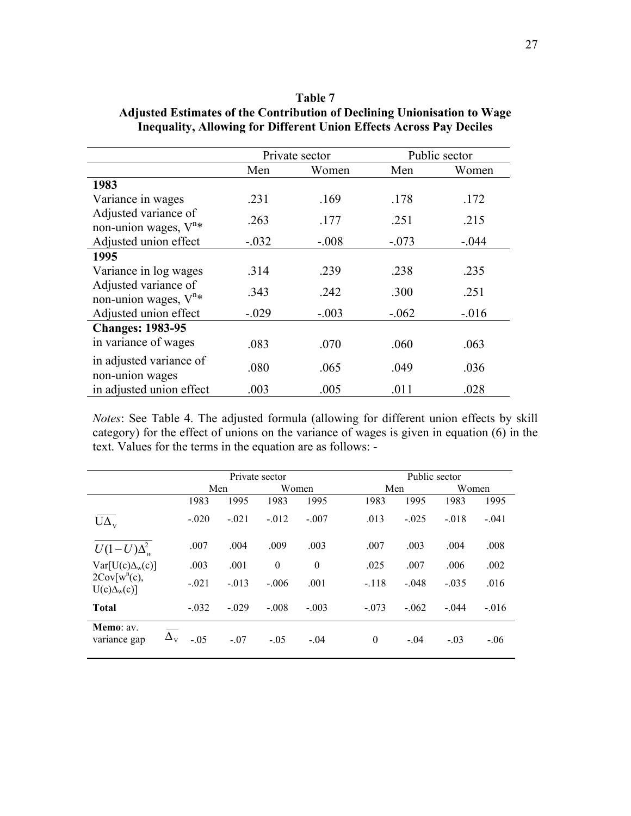# **Table 7**

| Adjusted Estimates of the Contribution of Declining Unionisation to Wage   |
|----------------------------------------------------------------------------|
| <b>Inequality, Allowing for Different Union Effects Across Pay Deciles</b> |

|                                                   | Private sector |         |         | Public sector |
|---------------------------------------------------|----------------|---------|---------|---------------|
|                                                   | Men            | Women   | Men     | Women         |
| 1983                                              |                |         |         |               |
| Variance in wages                                 | .231           | .169    | .178    | .172          |
| Adjusted variance of<br>non-union wages, $V^{n*}$ | .263           | .177    | .251    | .215          |
| Adjusted union effect                             | $-.032$        | $-.008$ | $-.073$ | $-.044$       |
| 1995                                              |                |         |         |               |
| Variance in log wages                             | .314           | .239    | .238    | .235          |
| Adjusted variance of<br>non-union wages, $V^{n*}$ | .343           | .242    | .300    | .251          |
| Adjusted union effect                             | $-.029$        | $-.003$ | $-.062$ | $-0.016$      |
| <b>Changes: 1983-95</b>                           |                |         |         |               |
| in variance of wages                              | .083           | .070    | .060    | .063          |
| in adjusted variance of<br>non-union wages        | .080           | .065    | .049    | .036          |
| in adjusted union effect                          | .003           | .005    | .011    | .028          |

*Notes*: See Table 4. The adjusted formula (allowing for different union effects by skill category) for the effect of unions on the variance of wages is given in equation (6) in the text. Values for the terms in the equation are as follows: -

|                                                                         |                            | Private sector |              |          |  | Public sector |          |         |         |
|-------------------------------------------------------------------------|----------------------------|----------------|--------------|----------|--|---------------|----------|---------|---------|
|                                                                         |                            | Men            |              | Women    |  | Men           |          | Women   |         |
|                                                                         | 1983                       | 1995           | 1983         | 1995     |  | 1983          | 1995     | 1983    | 1995    |
| $U\Delta_{V}$                                                           | $-.020$                    | $-.021$        | $-0.012$     | $-.007$  |  | .013          | $-0.025$ | $-.018$ | $-.041$ |
| $U(1-U)\Delta_w^2$                                                      | .007                       | .004           | .009         | .003     |  | .007          | .003     | .004    | .008    |
| $Var[U(c)\Delta_w(c)]$<br>2Cov[w <sup>n</sup> (c),<br>$U(c)\Delta_w(c)$ | .003                       | .001           | $\mathbf{0}$ | $\theta$ |  | .025          | .007     | .006    | .002    |
|                                                                         | $-.021$                    | $-.013$        | $-.006$      | .001     |  | $-118$        | $-.048$  | $-0.35$ | .016    |
| <b>Total</b>                                                            | $-.032$                    | $-.029$        | $-.008$      | $-.003$  |  | $-.073$       | $-.062$  | $-.044$ | $-.016$ |
| Memo: av.<br>variance gap                                               | $\Delta_{\rm v}$<br>$-.05$ | $-.07$         | $-.05$       | $-.04$   |  | $\mathbf{0}$  | $-.04$   | $-.03$  | $-.06$  |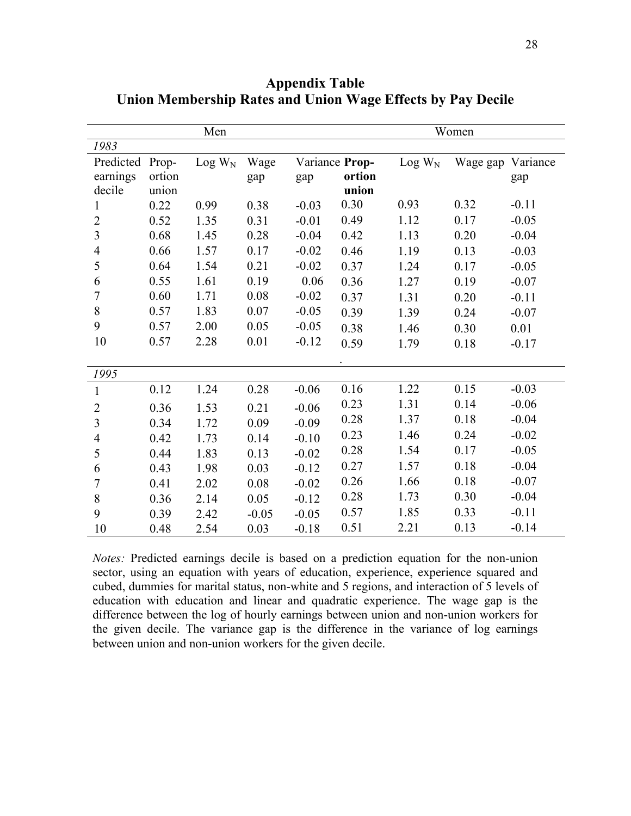| Men              |        |           |         |         | Women          |           |                   |         |  |  |
|------------------|--------|-----------|---------|---------|----------------|-----------|-------------------|---------|--|--|
| 1983             |        |           |         |         |                |           |                   |         |  |  |
| Predicted        | Prop-  | $Log W_N$ | Wage    |         | Variance Prop- | $Log W_N$ | Wage gap Variance |         |  |  |
| earnings         | ortion |           | gap     | gap     | ortion         |           |                   | gap     |  |  |
| decile           | union  |           |         |         | union          |           |                   |         |  |  |
| 1                | 0.22   | 0.99      | 0.38    | $-0.03$ | 0.30           | 0.93      | 0.32              | $-0.11$ |  |  |
| $\overline{2}$   | 0.52   | 1.35      | 0.31    | $-0.01$ | 0.49           | 1.12      | 0.17              | $-0.05$ |  |  |
| 3                | 0.68   | 1.45      | 0.28    | $-0.04$ | 0.42           | 1.13      | 0.20              | $-0.04$ |  |  |
| $\overline{4}$   | 0.66   | 1.57      | 0.17    | $-0.02$ | 0.46           | 1.19      | 0.13              | $-0.03$ |  |  |
| 5                | 0.64   | 1.54      | 0.21    | $-0.02$ | 0.37           | 1.24      | 0.17              | $-0.05$ |  |  |
| $\boldsymbol{6}$ | 0.55   | 1.61      | 0.19    | 0.06    | 0.36           | 1.27      | 0.19              | $-0.07$ |  |  |
| $\boldsymbol{7}$ | 0.60   | 1.71      | 0.08    | $-0.02$ | 0.37           | 1.31      | 0.20              | $-0.11$ |  |  |
| 8                | 0.57   | 1.83      | 0.07    | $-0.05$ | 0.39           | 1.39      | 0.24              | $-0.07$ |  |  |
| 9                | 0.57   | 2.00      | 0.05    | $-0.05$ | 0.38           | 1.46      | 0.30              | 0.01    |  |  |
| 10               | 0.57   | 2.28      | 0.01    | $-0.12$ | 0.59           | 1.79      | 0.18              | $-0.17$ |  |  |
|                  |        |           |         |         |                |           |                   |         |  |  |
| 1995             |        |           |         |         |                |           |                   |         |  |  |
| $\mathbf{1}$     | 0.12   | 1.24      | 0.28    | $-0.06$ | 0.16           | 1.22      | 0.15              | $-0.03$ |  |  |
| $\overline{2}$   | 0.36   | 1.53      | 0.21    | $-0.06$ | 0.23           | 1.31      | 0.14              | $-0.06$ |  |  |
| $\overline{3}$   | 0.34   | 1.72      | 0.09    | $-0.09$ | 0.28           | 1.37      | 0.18              | $-0.04$ |  |  |
| $\overline{4}$   | 0.42   | 1.73      | 0.14    | $-0.10$ | 0.23           | 1.46      | 0.24              | $-0.02$ |  |  |
| 5                | 0.44   | 1.83      | 0.13    | $-0.02$ | 0.28           | 1.54      | 0.17              | $-0.05$ |  |  |
| $\boldsymbol{6}$ | 0.43   | 1.98      | 0.03    | $-0.12$ | 0.27           | 1.57      | 0.18              | $-0.04$ |  |  |
| $\boldsymbol{7}$ | 0.41   | 2.02      | 0.08    | $-0.02$ | 0.26           | 1.66      | 0.18              | $-0.07$ |  |  |
| $8\,$            | 0.36   | 2.14      | 0.05    | $-0.12$ | 0.28           | 1.73      | 0.30              | $-0.04$ |  |  |
| 9                | 0.39   | 2.42      | $-0.05$ | $-0.05$ | 0.57           | 1.85      | 0.33              | $-0.11$ |  |  |
| 10               | 0.48   | 2.54      | 0.03    | $-0.18$ | 0.51           | 2.21      | 0.13              | $-0.14$ |  |  |

**Appendix Table Union Membership Rates and Union Wage Effects by Pay Decile** 

*Notes:* Predicted earnings decile is based on a prediction equation for the non-union sector, using an equation with years of education, experience, experience squared and cubed, dummies for marital status, non-white and 5 regions, and interaction of 5 levels of education with education and linear and quadratic experience. The wage gap is the difference between the log of hourly earnings between union and non-union workers for the given decile. The variance gap is the difference in the variance of log earnings between union and non-union workers for the given decile.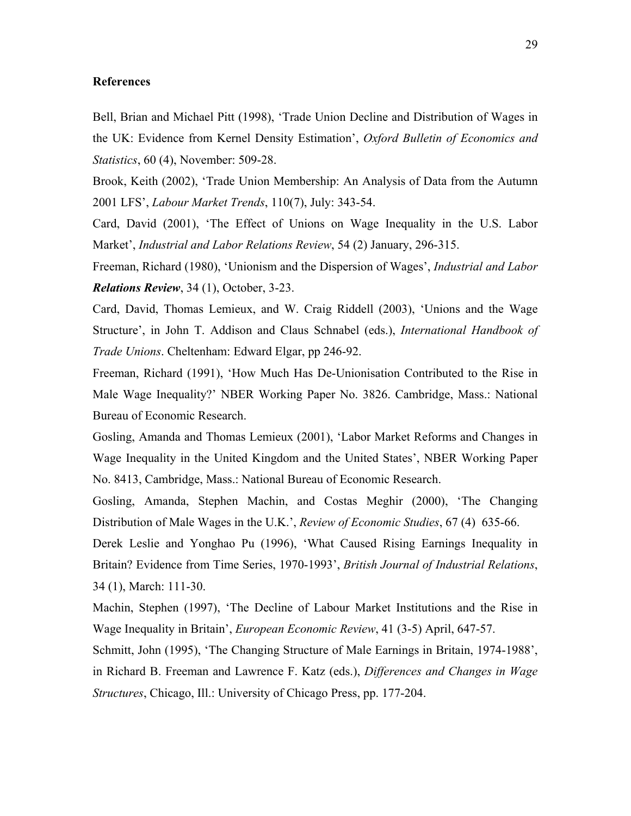#### **References**

Bell, Brian and Michael Pitt (1998), 'Trade Union Decline and Distribution of Wages in the UK: Evidence from Kernel Density Estimation', *Oxford Bulletin of Economics and Statistics*, 60 (4), November: 509-28.

Brook, Keith (2002), 'Trade Union Membership: An Analysis of Data from the Autumn 2001 LFS', *Labour Market Trends*, 110(7), July: 343-54.

Card, David (2001), 'The Effect of Unions on Wage Inequality in the U.S. Labor Market', *Industrial and Labor Relations Review*, 54 (2) January, 296-315.

Freeman, Richard (1980), 'Unionism and the Dispersion of Wages', *Industrial and Labor Relations Review*, 34 (1), October, 3-23.

Card, David, Thomas Lemieux, and W. Craig Riddell (2003), 'Unions and the Wage Structure', in John T. Addison and Claus Schnabel (eds.), *International Handbook of Trade Unions*. Cheltenham: Edward Elgar, pp 246-92.

Freeman, Richard (1991), 'How Much Has De-Unionisation Contributed to the Rise in Male Wage Inequality?' NBER Working Paper No. 3826. Cambridge, Mass.: National Bureau of Economic Research.

Gosling, Amanda and Thomas Lemieux (2001), 'Labor Market Reforms and Changes in Wage Inequality in the United Kingdom and the United States', NBER Working Paper No. 8413, Cambridge, Mass.: National Bureau of Economic Research.

Gosling, Amanda, Stephen Machin, and Costas Meghir (2000), 'The Changing Distribution of Male Wages in the U.K.', *Review of Economic Studies*, 67 (4) 635-66.

Derek Leslie and Yonghao Pu (1996), 'What Caused Rising Earnings Inequality in Britain? Evidence from Time Series, 1970-1993', *British Journal of Industrial Relations*, 34 (1), March: 111-30.

Machin, Stephen (1997), 'The Decline of Labour Market Institutions and the Rise in Wage Inequality in Britain', *European Economic Review*, 41 (3-5) April, 647-57.

Schmitt, John (1995), 'The Changing Structure of Male Earnings in Britain, 1974-1988', in Richard B. Freeman and Lawrence F. Katz (eds.), *Differences and Changes in Wage Structures*, Chicago, Ill.: University of Chicago Press, pp. 177-204.